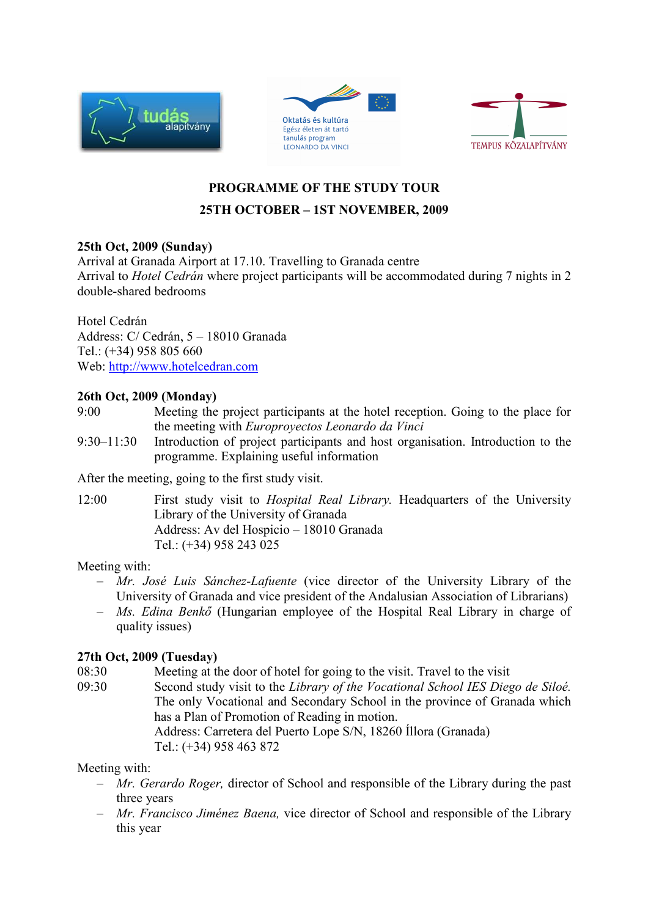





## **PROGRAMME OF THE STUDY TOUR 25TH OCTOBER – 1ST NOVEMBER, 2009**

### **25th Oct, 2009 (Sunday)**

Arrival at Granada Airport at 17.10. Travelling to Granada centre Arrival to *Hotel Cedrán* where project participants will be accommodated during 7 nights in 2 double-shared bedrooms

### Hotel Cedrán

Address: C/ Cedrán, 5 – 18010 Granada Tel.: (+34) 958 805 660 Web: http://www.hotelcedran.com

### **26th Oct, 2009 (Monday)**

- 9:00 Meeting the project participants at the hotel reception. Going to the place for the meeting with *Europroyectos Leonardo da Vinci*
- 9:30–11:30 Introduction of project participants and host organisation. Introduction to the programme. Explaining useful information

After the meeting, going to the first study visit.

12:00First study visit to *Hospital Real Library.* Headquarters of the University Library of the University of Granada Address: Av del Hospicio – 18010 Granada Tel.: (+34) 958 243 025

### Meeting with:

- *Mr. José Luis Sánchez-Lafuente* (vice director of the University Library of the University of Granada and vice president of the Andalusian Association of Librarians)
- *Ms. Edina Benkő* (Hungarian employee of the Hospital Real Library in charge of quality issues)

### **27th Oct, 2009 (Tuesday)**

- 08:30 Meeting at the door of hotel for going to the visit. Travel to the visit
- 09:30 Second study visit to the *Library of the Vocational School IES Diego de Siloé.* The only Vocational and Secondary School in the province of Granada which has a Plan of Promotion of Reading in motion. Address: Carretera del Puerto Lope S/N, 18260 Íllora (Granada) Tel.: (+34) 958 463 872

Meeting with:

- *Mr. Gerardo Roger,* director of School and responsible of the Library during the past three years
- *Mr. Francisco Jiménez Baena,* vice director of School and responsible of the Library this year